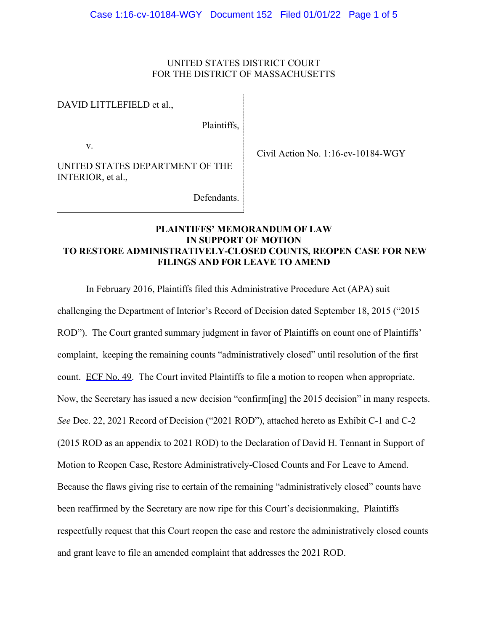### UNITED STATES DISTRICT COURT FOR THE DISTRICT OF MASSACHUSETTS

### DAVID LITTLEFIELD et al.,

Plaintiffs,

v.

UNITED STATES DEPARTMENT OF THE INTERIOR, et al.,

Civil Action No. 1:16-cv-10184-WGY

Defendants.

# **PLAINTIFFS' MEMORANDUM OF LAW IN SUPPORT OF MOTION TO RESTORE ADMINISTRATIVELY-CLOSED COUNTS, REOPEN CASE FOR NEW FILINGS AND FOR LEAVE TO AMEND**

In February 2016, Plaintiffs filed this Administrative Procedure Act (APA) suit

challenging the Department of Interior's Record of Decision dated September 18, 2015 ("2015 ROD"). The Court granted summary judgment in favor of Plaintiffs on count one of Plaintiffs' complaint, keeping the remaining counts "administratively closed" until resolution of the first count. ECF No. 49. The Court invited Plaintiffs to file a motion to reopen when appropriate. Now, the Secretary has issued a new decision "confirm[ing] the 2015 decision" in many respects. *See* Dec. 22, 2021 Record of Decision ("2021 ROD"), attached hereto as Exhibit C-1 and C-2 (2015 ROD as an appendix to 2021 ROD) to the Declaration of David H. Tennant in Support of Motion to Reopen Case, Restore Administratively-Closed Counts and For Leave to Amend. Because the flaws giving rise to certain of the remaining "administratively closed" counts have been reaffirmed by the Secretary are now ripe for this Court's decisionmaking, Plaintiffs respectfully request that this Court reopen the case and restore the administratively closed counts and grant leave to file an amended complaint that addresses the 2021 ROD.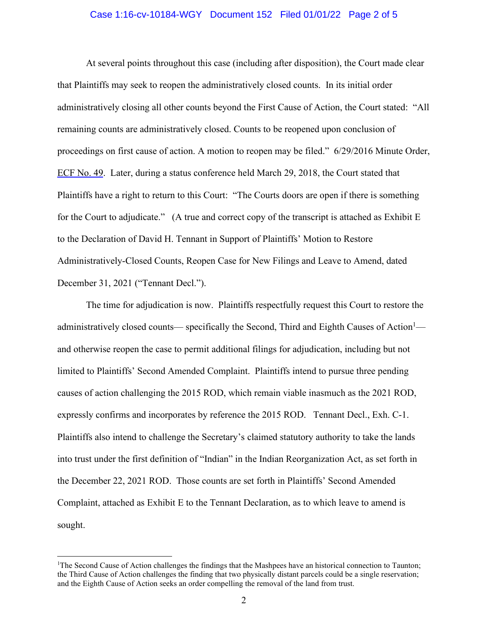#### Case 1:16-cv-10184-WGY Document 152 Filed 01/01/22 Page 2 of 5

At several points throughout this case (including after disposition), the Court made clear that Plaintiffs may seek to reopen the administratively closed counts. In its initial order administratively closing all other counts beyond the First Cause of Action, the Court stated: "All remaining counts are administratively closed. Counts to be reopened upon conclusion of proceedings on first cause of action. A motion to reopen may be filed." 6/29/2016 Minute Order, ECF No. 49. Later, during a status conference held March 29, 2018, the Court stated that Plaintiffs have a right to return to this Court: "The Courts doors are open if there is something for the Court to adjudicate." (A true and correct copy of the transcript is attached as Exhibit E to the Declaration of David H. Tennant in Support of Plaintiffs' Motion to Restore Administratively-Closed Counts, Reopen Case for New Filings and Leave to Amend, dated December 31, 2021 ("Tennant Decl.").

The time for adjudication is now. Plaintiffs respectfully request this Court to restore the administratively closed counts— specifically the Second, Third and Eighth Causes of Action<sup>1</sup> and otherwise reopen the case to permit additional filings for adjudication, including but not limited to Plaintiffs' Second Amended Complaint. Plaintiffs intend to pursue three pending causes of action challenging the 2015 ROD, which remain viable inasmuch as the 2021 ROD, expressly confirms and incorporates by reference the 2015 ROD. Tennant Decl., Exh. C-1. Plaintiffs also intend to challenge the Secretary's claimed statutory authority to take the lands into trust under the first definition of "Indian" in the Indian Reorganization Act, as set forth in the December 22, 2021 ROD. Those counts are set forth in Plaintiffs' Second Amended Complaint, attached as Exhibit E to the Tennant Declaration, as to which leave to amend is sought.

<sup>&</sup>lt;sup>1</sup>The Second Cause of Action challenges the findings that the Mashpees have an historical connection to Taunton; the Third Cause of Action challenges the finding that two physically distant parcels could be a single reservation; and the Eighth Cause of Action seeks an order compelling the removal of the land from trust.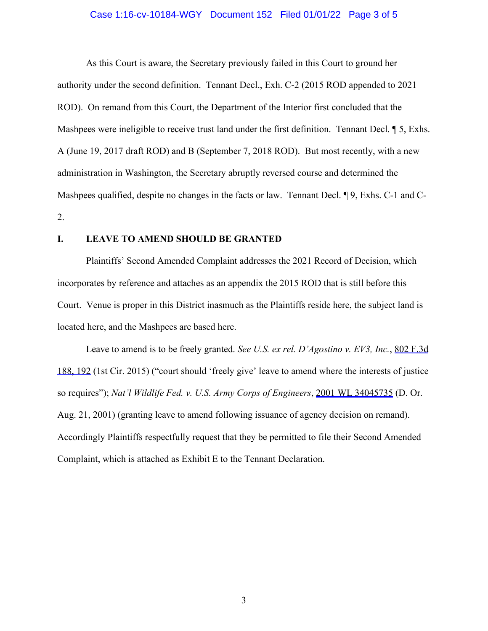#### Case 1:16-cv-10184-WGY Document 152 Filed 01/01/22 Page 3 of 5

As this Court is aware, the Secretary previously failed in this Court to ground her authority under the second definition. Tennant Decl., Exh. C-2 (2015 ROD appended to 2021 ROD). On remand from this Court, the Department of the Interior first concluded that the Mashpees were ineligible to receive trust land under the first definition. Tennant Decl.  $\parallel$  5, Exhs. A (June 19, 2017 draft ROD) and B (September 7, 2018 ROD). But most recently, with a new administration in Washington, the Secretary abruptly reversed course and determined the Mashpees qualified, despite no changes in the facts or law. Tennant Decl. ¶ 9, Exhs. C-1 and C-2.

#### **I. LEAVE TO AMEND SHOULD BE GRANTED**

Plaintiffs' Second Amended Complaint addresses the 2021 Record of Decision, which incorporates by reference and attaches as an appendix the 2015 ROD that is still before this Court. Venue is proper in this District inasmuch as the Plaintiffs reside here, the subject land is located here, and the Mashpees are based here.

Leave to amend is to be freely granted. *See U.S. ex rel. D'Agostino v. EV3, Inc.*, 802 F.3d 188, 192 (1st Cir. 2015) ("court should 'freely give' leave to amend where the interests of justice so requires"); *Nat'l Wildlife Fed. v. U.S. Army Corps of Engineers*, 2001 WL 34045735 (D. Or. Aug. 21, 2001) (granting leave to amend following issuance of agency decision on remand). Accordingly Plaintiffs respectfully request that they be permitted to file their Second Amended Complaint, which is attached as Exhibit E to the Tennant Declaration.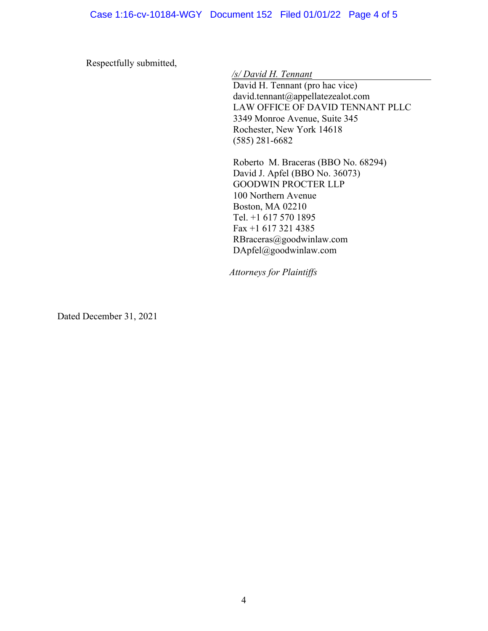Respectfully submitted,

*/s/ David H. Tennant*

David H. Tennant (pro hac vice) david.tennant@appellatezealot.com LAW OFFICE OF DAVID TENNANT PLLC 3349 Monroe Avenue, Suite 345 Rochester, New York 14618 (585) 281-6682

Roberto M. Braceras (BBO No. 68294) David J. Apfel (BBO No. 36073) GOODWIN PROCTER LLP 100 Northern Avenue Boston, MA 02210 Tel. +1 617 570 1895 Fax +1 617 321 4385 RBraceras@goodwinlaw.com DApfel@goodwinlaw.com

*Attorneys for Plaintiffs* 

Dated December 31, 2021